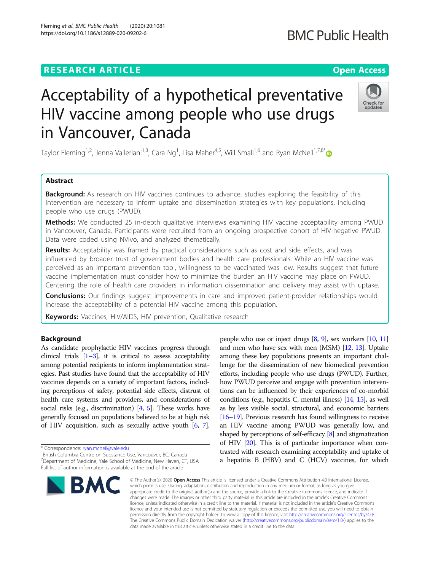# **RESEARCH ARTICLE Example 2014 12:30 The Open Access**

# Acceptability of a hypothetical preventative HIV vaccine among people who use drugs in Vancouver, Canada

Taylor Fleming<sup>1,2</sup>, Jenna Valleriani<sup>1,3</sup>, Cara Ng<sup>1</sup>, Lisa Maher<sup>4,5</sup>, Will Small<sup>1,6</sup> and Ryan McNeil<sup>1,7,8[\\*](http://orcid.org/0000-0003-4452-0764)</sup>

# Abstract

Background: As research on HIV vaccines continues to advance, studies exploring the feasibility of this intervention are necessary to inform uptake and dissemination strategies with key populations, including people who use drugs (PWUD).

Methods: We conducted 25 in-depth qualitative interviews examining HIV vaccine acceptability among PWUD in Vancouver, Canada. Participants were recruited from an ongoing prospective cohort of HIV-negative PWUD. Data were coded using NVivo, and analyzed thematically.

Results: Acceptability was framed by practical considerations such as cost and side effects, and was influenced by broader trust of government bodies and health care professionals. While an HIV vaccine was perceived as an important prevention tool, willingness to be vaccinated was low. Results suggest that future vaccine implementation must consider how to minimize the burden an HIV vaccine may place on PWUD. Centering the role of health care providers in information dissemination and delivery may assist with uptake.

**Conclusions:** Our findings suggest improvements in care and improved patient-provider relationships would increase the acceptability of a potential HIV vaccine among this population.

**Keywords:** Vaccines, HIV/AIDS, HIV prevention, Qualitative research

# Background

As candidate prophylactic HIV vaccines progress through clinical trials  $[1-3]$  $[1-3]$  $[1-3]$  $[1-3]$ , it is critical to assess acceptability among potential recipients to inform implementation strategies. Past studies have found that the acceptability of HIV vaccines depends on a variety of important factors, including perceptions of safety, potential side effects, distrust of health care systems and providers, and considerations of social risks (e.g., discrimination)  $[4, 5]$  $[4, 5]$  $[4, 5]$  $[4, 5]$  $[4, 5]$ . These works have generally focused on populations believed to be at high risk of HIV acquisition, such as sexually active youth [\[6,](#page-7-0) [7](#page-7-0)],

\* Correspondence: [ryan.mcneil@yale.edu](mailto:ryan.mcneil@yale.edu) <sup>1</sup>

<sup>1</sup>British Columbia Centre on Substance Use, Vancouver, BC, Canada <sup>7</sup>Department of Medicine, Yale School of Medicine, New Haven, CT, USA Full list of author information is available at the end of the article

© The Author(s), 2020 **Open Access** This article is licensed under a Creative Commons Attribution 4.0 International License, which permits use, sharing, adaptation, distribution and reproduction in any medium or format, as long as you give appropriate credit to the original author(s) and the source, provide a link to the Creative Commons licence, and indicate if changes were made. The images or other third party material in this article are included in the article's Creative Commons licence, unless indicated otherwise in a credit line to the material. If material is not included in the article's Creative Commons licence and your intended use is not permitted by statutory regulation or exceeds the permitted use, you will need to obtain permission directly from the copyright holder. To view a copy of this licence, visit [http://creativecommons.org/licenses/by/4.0/.](http://creativecommons.org/licenses/by/4.0/) The Creative Commons Public Domain Dedication waiver [\(http://creativecommons.org/publicdomain/zero/1.0/](http://creativecommons.org/publicdomain/zero/1.0/)) applies to the data made available in this article, unless otherwise stated in a credit line to the data.

lenge for the dissemination of new biomedical prevention efforts, including people who use drugs (PWUD). Further, how PWUD perceive and engage with prevention interventions can be influenced by their experiences of co-morbid conditions (e.g., hepatitis C, mental illness) [[14](#page-7-0), [15\]](#page-7-0), as well as by less visible social, structural, and economic barriers [[16](#page-7-0)–[19](#page-7-0)]. Previous research has found willingness to receive an HIV vaccine among PWUD was generally low, and shaped by perceptions of self-efficacy [\[8\]](#page-7-0) and stigmatization of HIV [\[20\]](#page-7-0). This is of particular importance when contrasted with research examining acceptability and uptake of a hepatitis B (HBV) and C (HCV) vaccines, for which

people who use or inject drugs [\[8,](#page-7-0) [9\]](#page-7-0), sex workers [\[10,](#page-7-0) [11](#page-7-0)] and men who have sex with men (MSM) [[12,](#page-7-0) [13\]](#page-7-0). Uptake among these key populations presents an important chal-



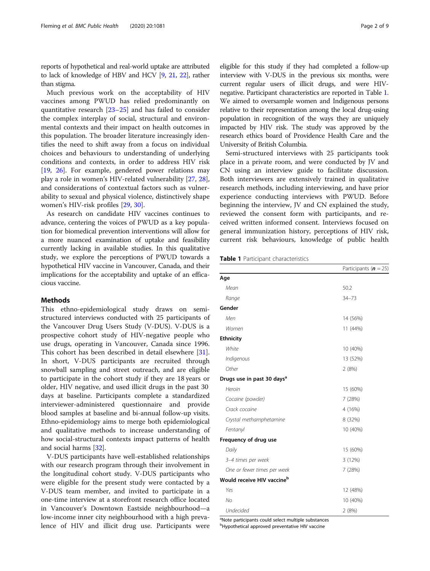<span id="page-1-0"></span>reports of hypothetical and real-world uptake are attributed to lack of knowledge of HBV and HCV [[9](#page-7-0), [21](#page-7-0), [22](#page-7-0)], rather than stigma.

Much previous work on the acceptability of HIV vaccines among PWUD has relied predominantly on quantitative research [[23](#page-7-0)–[25](#page-7-0)] and has failed to consider the complex interplay of social, structural and environmental contexts and their impact on health outcomes in this population. The broader literature increasingly identifies the need to shift away from a focus on individual choices and behaviours to understanding of underlying conditions and contexts, in order to address HIV risk [[19,](#page-7-0) [26](#page-7-0)]. For example, gendered power relations may play a role in women's HIV-related vulnerability [[27](#page-7-0), [28](#page-7-0)], and considerations of contextual factors such as vulnerability to sexual and physical violence, distinctively shape women's HIV-risk profiles [[29](#page-7-0), [30](#page-7-0)].

As research on candidate HIV vaccines continues to advance, centering the voices of PWUD as a key population for biomedical prevention interventions will allow for a more nuanced examination of uptake and feasibility currently lacking in available studies. In this qualitative study, we explore the perceptions of PWUD towards a hypothetical HIV vaccine in Vancouver, Canada, and their implications for the acceptability and uptake of an efficacious vaccine.

# Methods

This ethno-epidemiological study draws on semistructured interviews conducted with 25 participants of the Vancouver Drug Users Study (V-DUS). V-DUS is a prospective cohort study of HIV-negative people who use drugs, operating in Vancouver, Canada since 1996. This cohort has been described in detail elsewhere [\[31](#page-7-0)]. In short, V-DUS participants are recruited through snowball sampling and street outreach, and are eligible to participate in the cohort study if they are 18 years or older, HIV negative, and used illicit drugs in the past 30 days at baseline. Participants complete a standardized interviewer-administered questionnaire and provide blood samples at baseline and bi-annual follow-up visits. Ethno-epidemiology aims to merge both epidemiological and qualitative methods to increase understanding of how social-structural contexts impact patterns of health and social harms [[32\]](#page-7-0).

V-DUS participants have well-established relationships with our research program through their involvement in the longitudinal cohort study. V-DUS participants who were eligible for the present study were contacted by a V-DUS team member, and invited to participate in a one-time interview at a storefront research office located in Vancouver's Downtown Eastside neighbourhood—a low-income inner city neighbourhood with a high prevalence of HIV and illicit drug use. Participants were

eligible for this study if they had completed a follow-up interview with V-DUS in the previous six months, were current regular users of illicit drugs, and were HIVnegative. Participant characteristics are reported in Table 1. We aimed to oversample women and Indigenous persons relative to their representation among the local drug-using population in recognition of the ways they are uniquely impacted by HIV risk. The study was approved by the research ethics board of Providence Health Care and the University of British Columbia.

Semi-structured interviews with 25 participants took place in a private room, and were conducted by JV and CN using an interview guide to facilitate discussion. Both interviewers are extensively trained in qualitative research methods, including interviewing, and have prior experience conducting interviews with PWUD. Before beginning the interview, JV and CN explained the study, reviewed the consent form with participants, and received written informed consent. Interviews focused on general immunization history, perceptions of HIV risk, current risk behaviours, knowledge of public health

|  |  | Table 1 Participant characteristics |
|--|--|-------------------------------------|
|--|--|-------------------------------------|

|                                        | Participants $(n = 25)$ |
|----------------------------------------|-------------------------|
| Age                                    |                         |
| Mean                                   | 50.2                    |
| Range                                  | $34 - 73$               |
| Gender                                 |                         |
| Men                                    | 14 (56%)                |
| Women                                  | 11 (44%)                |
| <b>Ethnicity</b>                       |                         |
| White                                  | 10 (40%)                |
| Indigenous                             | 13 (52%)                |
| Other                                  | 2(8%)                   |
| Drugs use in past 30 days <sup>a</sup> |                         |
| Heroin                                 | 15 (60%)                |
| Cocaine (powder)                       | 7 (28%)                 |
| Crack cocaine                          | 4 (16%)                 |
| Crystal methamphetamine                | 8 (32%)                 |
| Fentanyl                               | 10 (40%)                |
| Frequency of drug use                  |                         |
| Daily                                  | 15 (60%)                |
| 3-4 times per week                     | 3 (12%)                 |
| One or fewer times per week            | 7 (28%)                 |
| Would receive HIV vaccine <sup>b</sup> |                         |
| Yes                                    | 12 (48%)                |
| No                                     | 10 (40%)                |
| Undecided                              | 2(8%)                   |

<sup>a</sup>Note participants could select multiple substances

**bHypothetical approved preventative HIV vaccine**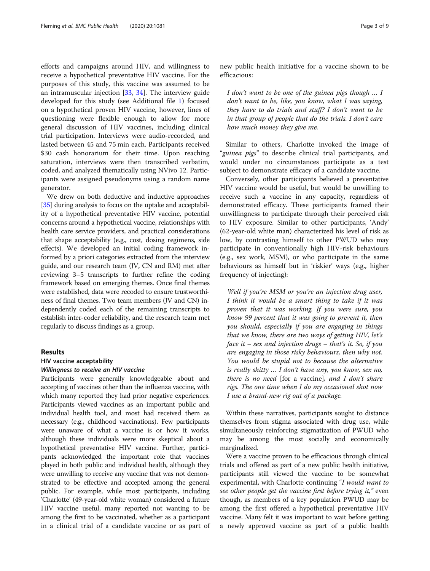efforts and campaigns around HIV, and willingness to receive a hypothetical preventative HIV vaccine. For the purposes of this study, this vaccine was assumed to be an intramuscular injection [[33,](#page-8-0) [34](#page-8-0)]. The interview guide developed for this study (see Additional file [1](#page-6-0)) focused on a hypothetical proven HIV vaccine, however, lines of questioning were flexible enough to allow for more general discussion of HIV vaccines, including clinical trial participation. Interviews were audio-recorded, and lasted between 45 and 75 min each. Participants received \$30 cash honorarium for their time. Upon reaching saturation, interviews were then transcribed verbatim, coded, and analyzed thematically using NVivo 12. Participants were assigned pseudonyms using a random name generator.

We drew on both deductive and inductive approaches [[35](#page-8-0)] during analysis to focus on the uptake and acceptability of a hypothetical preventative HIV vaccine, potential concerns around a hypothetical vaccine, relationships with health care service providers, and practical considerations that shape acceptability (e.g., cost, dosing regimens, side effects). We developed an initial coding framework informed by a priori categories extracted from the interview guide, and our research team (JV, CN and RM) met after reviewing 3–5 transcripts to further refine the coding framework based on emerging themes. Once final themes were established, data were recoded to ensure trustworthiness of final themes. Two team members (JV and CN) independently coded each of the remaining transcripts to establish inter-coder reliability, and the research team met regularly to discuss findings as a group.

# Results

#### HIV vaccine acceptability

#### Willingness to receive an HIV vaccine

Participants were generally knowledgeable about and accepting of vaccines other than the influenza vaccine, with which many reported they had prior negative experiences. Participants viewed vaccines as an important public and individual health tool, and most had received them as necessary (e.g., childhood vaccinations). Few participants were unaware of what a vaccine is or how it works, although these individuals were more skeptical about a hypothetical preventative HIV vaccine. Further, participants acknowledged the important role that vaccines played in both public and individual health, although they were unwilling to receive any vaccine that was not demonstrated to be effective and accepted among the general public. For example, while most participants, including 'Charlotte' (49-year-old white woman) considered a future HIV vaccine useful, many reported not wanting to be among the first to be vaccinated, whether as a participant in a clinical trial of a candidate vaccine or as part of new public health initiative for a vaccine shown to be efficacious:

I don't want to be one of the guinea pigs though … I don't want to be, like, you know, what I was saying, they have to do trials and stuff? I don't want to be in that group of people that do the trials. I don't care how much money they give me.

Similar to others, Charlotte invoked the image of "guinea pigs" to describe clinical trial participants, and would under no circumstances participate as a test subject to demonstrate efficacy of a candidate vaccine.

Conversely, other participants believed a preventative HIV vaccine would be useful, but would be unwilling to receive such a vaccine in any capacity, regardless of demonstrated efficacy. These participants framed their unwillingness to participate through their perceived risk to HIV exposure. Similar to other participants, 'Andy' (62-year-old white man) characterized his level of risk as low, by contrasting himself to other PWUD who may participate in conventionally high HIV-risk behaviours (e.g., sex work, MSM), or who participate in the same behaviours as himself but in 'riskier' ways (e.g., higher frequency of injecting):

Well if you're MSM or you're an injection drug user, I think it would be a smart thing to take if it was proven that it was working. If you were sure, you know 99 percent that it was going to prevent it, then you should, especially if you are engaging in things that we know, there are two ways of getting HIV, let's face it – sex and injection drugs – that's it. So, if you are engaging in those risky behaviours, then why not. You would be stupid not to because the alternative is really shitty … I don't have any, you know, sex no, there is no need [for a vaccine], and  $I$  don't share rigs. The one time when I do my occasional shot now I use a brand-new rig out of a package.

Within these narratives, participants sought to distance themselves from stigma associated with drug use, while simultaneously reinforcing stigmatization of PWUD who may be among the most socially and economically marginalized.

Were a vaccine proven to be efficacious through clinical trials and offered as part of a new public health initiative, participants still viewed the vaccine to be somewhat experimental, with Charlotte continuing "I would want to see other people get the vaccine first before trying it," even though, as members of a key population PWUD may be among the first offered a hypothetical preventative HIV vaccine. Many felt it was important to wait before getting a newly approved vaccine as part of a public health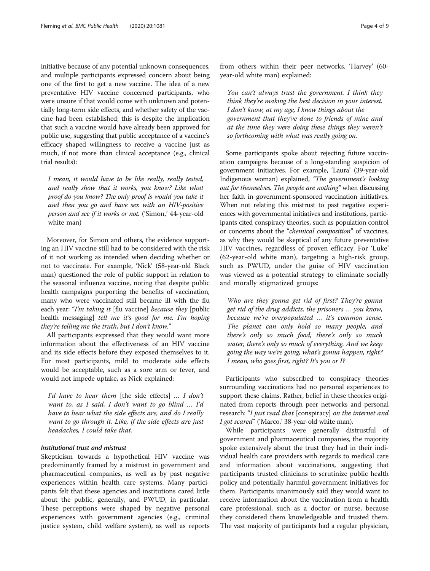initiative because of any potential unknown consequences, and multiple participants expressed concern about being one of the first to get a new vaccine. The idea of a new preventative HIV vaccine concerned participants, who were unsure if that would come with unknown and potentially long-term side effects, and whether safety of the vaccine had been established; this is despite the implication that such a vaccine would have already been approved for public use, suggesting that public acceptance of a vaccine's efficacy shaped willingness to receive a vaccine just as much, if not more than clinical acceptance (e.g., clinical trial results):

I mean, it would have to be like really, really tested, and really show that it works, you know? Like what proof do you know? The only proof is would you take it and then you go and have sex with an HIV-positive person and see if it works or not. ('Simon,' 44-year-old white man)

Moreover, for Simon and others, the evidence supporting an HIV vaccine still had to be considered with the risk of it not working as intended when deciding whether or not to vaccinate. For example, 'Nick' (58-year-old Black man) questioned the role of public support in relation to the seasonal influenza vaccine, noting that despite public health campaigns purporting the benefits of vaccination, many who were vaccinated still became ill with the flu each year: "I'm taking it [flu vaccine] because they [public health messaging] tell me it's good for me. I'm hoping they're telling me the truth, but I don't know."

All participants expressed that they would want more information about the effectiveness of an HIV vaccine and its side effects before they exposed themselves to it. For most participants, mild to moderate side effects would be acceptable, such as a sore arm or fever, and would not impede uptake, as Nick explained:

I'd have to hear them [the side effects]  $\ldots$  I don't want to, as I said, I don't want to go blind … I'd have to hear what the side effects are, and do I really want to go through it. Like, if the side effects are just headaches, I could take that.

# Institutional trust and mistrust

Skepticism towards a hypothetical HIV vaccine was predominantly framed by a mistrust in government and pharmaceutical companies, as well as by past negative experiences within health care systems. Many participants felt that these agencies and institutions cared little about the public, generally, and PWUD, in particular. These perceptions were shaped by negative personal experiences with government agencies (e.g., criminal justice system, child welfare system), as well as reports

from others within their peer networks. 'Harvey' (60 year-old white man) explained:

You can't always trust the government. I think they think they're making the best decision in your interest. I don't know, at my age, I know things about the government that they've done to friends of mine and at the time they were doing these things they weren't so forthcoming with what was really going on.

Some participants spoke about rejecting future vaccination campaigns because of a long-standing suspicion of government initiatives. For example, 'Laura' (39-year-old Indigenous woman) explained, "The government's looking out for themselves. The people are nothing" when discussing her faith in government-sponsored vaccination initiatives. When not relating this mistrust to past negative experiences with governmental initiatives and institutions, participants cited conspiracy theories, such as population control or concerns about the "chemical composition" of vaccines, as why they would be skeptical of any future preventative HIV vaccines, regardless of proven efficacy. For 'Luke' (62-year-old white man), targeting a high-risk group, such as PWUD, under the guise of HIV vaccination was viewed as a potential strategy to eliminate socially and morally stigmatized groups:

Who are they gonna get rid of first? They're gonna get rid of the drug addicts, the prisoners … you know, because we're overpopulated … it's common sense. The planet can only hold so many people, and there's only so much food, there's only so much water, there's only so much of everything. And we keep going the way we're going, what's gonna happen, right? I mean, who goes first, right? It's you or I?

Participants who subscribed to conspiracy theories surrounding vaccinations had no personal experiences to support these claims. Rather, belief in these theories originated from reports through peer networks and personal research: "I just read that [conspiracy] on the internet and I got scared" ('Marco,' 38-year-old white man).

While participants were generally distrustful of government and pharmaceutical companies, the majority spoke extensively about the trust they had in their individual health care providers with regards to medical care and information about vaccinations, suggesting that participants trusted clinicians to scrutinize public health policy and potentially harmful government initiatives for them. Participants unanimously said they would want to receive information about the vaccination from a health care professional, such as a doctor or nurse, because they considered them knowledgeable and trusted them. The vast majority of participants had a regular physician,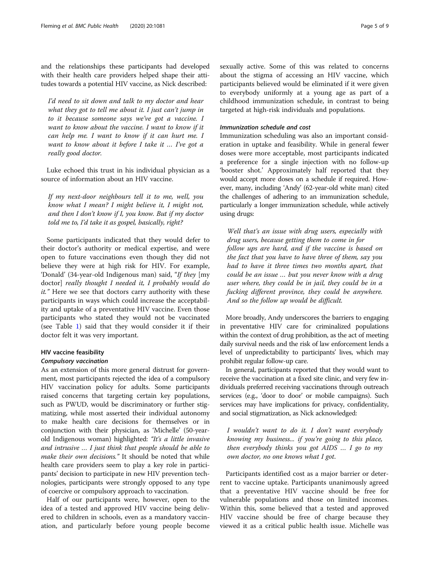and the relationships these participants had developed with their health care providers helped shape their attitudes towards a potential HIV vaccine, as Nick described:

I'd need to sit down and talk to my doctor and hear what they got to tell me about it. I just can't jump in to it because someone says we've got a vaccine. I want to know about the vaccine. I want to know if it can help me. I want to know if it can hurt me. I want to know about it before I take it … I've got a really good doctor.

Luke echoed this trust in his individual physician as a source of information about an HIV vaccine.

If my next-door neighbours tell it to me, well, you know what I mean? I might believe it, I might not, and then I don't know if I, you know. But if my doctor told me to, I'd take it as gospel, basically, right?

Some participants indicated that they would defer to their doctor's authority or medical expertise, and were open to future vaccinations even though they did not believe they were at high risk for HIV. For example, 'Donald' (34-year-old Indigenous man) said, "If they [my doctor] really thought I needed it, I probably would do it." Here we see that doctors carry authority with these participants in ways which could increase the acceptability and uptake of a preventative HIV vaccine. Even those participants who stated they would not be vaccinated (see Table [1\)](#page-1-0) said that they would consider it if their doctor felt it was very important.

# HIV vaccine feasibility

# Compulsory vaccination

As an extension of this more general distrust for government, most participants rejected the idea of a compulsory HIV vaccination policy for adults. Some participants raised concerns that targeting certain key populations, such as PWUD, would be discriminatory or further stigmatizing, while most asserted their individual autonomy to make health care decisions for themselves or in conjunction with their physician, as 'Michelle' (50-yearold Indigenous woman) highlighted: "It's a little invasive and intrusive … I just think that people should be able to make their own decisions." It should be noted that while health care providers seem to play a key role in participants' decision to participate in new HIV prevention technologies, participants were strongly opposed to any type of coercive or compulsory approach to vaccination.

Half of our participants were, however, open to the idea of a tested and approved HIV vaccine being delivered to children in schools, even as a mandatory vaccination, and particularly before young people become sexually active. Some of this was related to concerns about the stigma of accessing an HIV vaccine, which participants believed would be eliminated if it were given to everybody uniformly at a young age as part of a childhood immunization schedule, in contrast to being targeted at high-risk individuals and populations.

### Immunization schedule and cost

Immunization scheduling was also an important consideration in uptake and feasibility. While in general fewer doses were more acceptable, most participants indicated a preference for a single injection with no follow-up 'booster shot.' Approximately half reported that they would accept more doses on a schedule if required. However, many, including 'Andy' (62-year-old white man) cited the challenges of adhering to an immunization schedule, particularly a longer immunization schedule, while actively using drugs:

Well that's an issue with drug users, especially with drug users, because getting them to come in for follow ups are hard, and if the vaccine is based on the fact that you have to have three of them, say you had to have it three times two months apart, that could be an issue … but you never know with a drug user where, they could be in jail, they could be in a fucking different province, they could be anywhere. And so the follow up would be difficult.

More broadly, Andy underscores the barriers to engaging in preventative HIV care for criminalized populations within the context of drug prohibition, as the act of meeting daily survival needs and the risk of law enforcement lends a level of unpredictability to participants' lives, which may prohibit regular follow-up care.

In general, participants reported that they would want to receive the vaccination at a fixed site clinic, and very few individuals preferred receiving vaccinations through outreach services (e.g., 'door to door' or mobile campaigns). Such services may have implications for privacy, confidentiality, and social stigmatization, as Nick acknowledged:

I wouldn't want to do it. I don't want everybody knowing my business... if you're going to this place, then everybody thinks you got AIDS … I go to my own doctor, no one knows what I got.

Participants identified cost as a major barrier or deterrent to vaccine uptake. Participants unanimously agreed that a preventative HIV vaccine should be free for vulnerable populations and those on limited incomes. Within this, some believed that a tested and approved HIV vaccine should be free of charge because they viewed it as a critical public health issue. Michelle was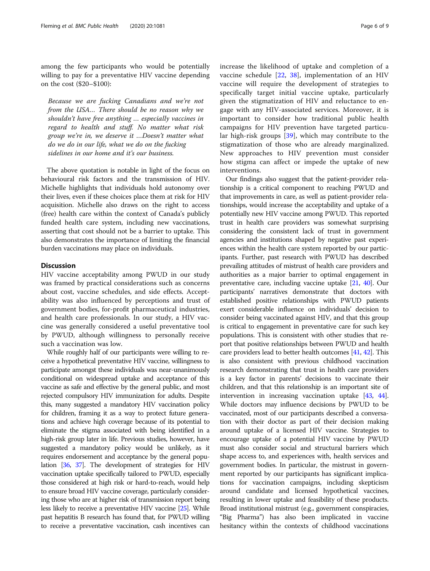among the few participants who would be potentially willing to pay for a preventative HIV vaccine depending on the cost (\$20–\$100):

Because we are fucking Canadians and we're not from the USA… There should be no reason why we shouldn't have free anything … especially vaccines in regard to health and stuff. No matter what risk group we're in, we deserve it …Doesn't matter what do we do in our life, what we do on the fucking sidelines in our home and it's our business.

The above quotation is notable in light of the focus on behavioural risk factors and the transmission of HIV. Michelle highlights that individuals hold autonomy over their lives, even if these choices place them at risk for HIV acquisition. Michelle also draws on the right to access (free) health care within the context of Canada's publicly funded health care system, including new vaccinations, asserting that cost should not be a barrier to uptake. This also demonstrates the importance of limiting the financial burden vaccinations may place on individuals.

# **Discussion**

HIV vaccine acceptability among PWUD in our study was framed by practical considerations such as concerns about cost, vaccine schedules, and side effects. Acceptability was also influenced by perceptions and trust of government bodies, for-profit pharmaceutical industries, and health care professionals. In our study, a HIV vaccine was generally considered a useful preventative tool by PWUD, although willingness to personally receive such a vaccination was low.

While roughly half of our participants were willing to receive a hypothetical preventative HIV vaccine, willingness to participate amongst these individuals was near-unanimously conditional on widespread uptake and acceptance of this vaccine as safe and effective by the general public, and most rejected compulsory HIV immunization for adults. Despite this, many suggested a mandatory HIV vaccination policy for children, framing it as a way to protect future generations and achieve high coverage because of its potential to eliminate the stigma associated with being identified in a high-risk group later in life. Previous studies, however, have suggested a mandatory policy would be unlikely, as it requires endorsement and acceptance by the general population [\[36,](#page-8-0) [37\]](#page-8-0). The development of strategies for HIV vaccination uptake specifically tailored to PWUD, especially those considered at high risk or hard-to-reach, would help to ensure broad HIV vaccine coverage, particularly considering those who are at higher risk of transmission report being less likely to receive a preventative HIV vaccine [\[25\]](#page-7-0). While past hepatitis B research has found that, for PWUD willing to receive a preventative vaccination, cash incentives can increase the likelihood of uptake and completion of a vaccine schedule [[22,](#page-7-0) [38\]](#page-8-0), implementation of an HIV vaccine will require the development of strategies to specifically target initial vaccine uptake, particularly given the stigmatization of HIV and reluctance to engage with any HIV-associated services. Moreover, it is important to consider how traditional public health campaigns for HIV prevention have targeted particular high-risk groups [\[39](#page-8-0)], which may contribute to the stigmatization of those who are already marginalized. New approaches to HIV prevention must consider how stigma can affect or impede the uptake of new interventions.

Our findings also suggest that the patient-provider relationship is a critical component to reaching PWUD and that improvements in care, as well as patient-provider relationships, would increase the acceptability and uptake of a potentially new HIV vaccine among PWUD. This reported trust in health care providers was somewhat surprising considering the consistent lack of trust in government agencies and institutions shaped by negative past experiences within the health care system reported by our participants. Further, past research with PWUD has described prevailing attitudes of mistrust of health care providers and authorities as a major barrier to optimal engagement in preventative care, including vaccine uptake [[21](#page-7-0), [40\]](#page-8-0). Our participants' narratives demonstrate that doctors with established positive relationships with PWUD patients exert considerable influence on individuals' decision to consider being vaccinated against HIV, and that this group is critical to engagement in preventative care for such key populations. This is consistent with other studies that report that positive relationships between PWUD and health care providers lead to better health outcomes [\[41,](#page-8-0) [42](#page-8-0)]. This is also consistent with previous childhood vaccination research demonstrating that trust in health care providers is a key factor in parents' decisions to vaccinate their children, and that this relationship is an important site of intervention in increasing vaccination uptake [\[43,](#page-8-0) [44](#page-8-0)]. While doctors may influence decisions by PWUD to be vaccinated, most of our participants described a conversation with their doctor as part of their decision making around uptake of a licensed HIV vaccine. Strategies to encourage uptake of a potential HIV vaccine by PWUD must also consider social and structural barriers which shape access to, and experiences with, health services and government bodies. In particular, the mistrust in government reported by our participants has significant implications for vaccination campaigns, including skepticism around candidate and licensed hypothetical vaccines, resulting in lower uptake and feasibility of these products. Broad institutional mistrust (e.g., government conspiracies, "Big Pharma") has also been implicated in vaccine hesitancy within the contexts of childhood vaccinations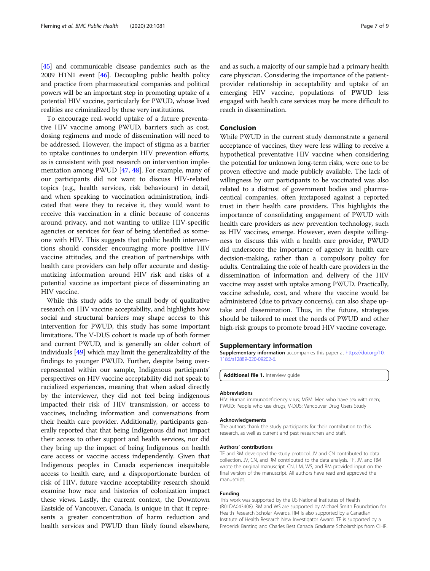<span id="page-6-0"></span>[[45](#page-8-0)] and communicable disease pandemics such as the 2009 H1N1 event [\[46](#page-8-0)]. Decoupling public health policy and practice from pharmaceutical companies and political powers will be an important step in promoting uptake of a potential HIV vaccine, particularly for PWUD, whose lived realities are criminalized by these very institutions.

To encourage real-world uptake of a future preventative HIV vaccine among PWUD, barriers such as cost, dosing regimens and mode of dissemination will need to be addressed. However, the impact of stigma as a barrier to uptake continues to underpin HIV prevention efforts, as is consistent with past research on intervention implementation among PWUD [\[47](#page-8-0), [48\]](#page-8-0). For example, many of our participants did not want to discuss HIV-related topics (e.g., health services, risk behaviours) in detail, and when speaking to vaccination administration, indicated that were they to receive it, they would want to receive this vaccination in a clinic because of concerns around privacy, and not wanting to utilize HIV-specific agencies or services for fear of being identified as someone with HIV. This suggests that public health interventions should consider encouraging more positive HIV vaccine attitudes, and the creation of partnerships with health care providers can help offer accurate and destigmatizing information around HIV risk and risks of a potential vaccine as important piece of disseminating an HIV vaccine.

While this study adds to the small body of qualitative research on HIV vaccine acceptability, and highlights how social and structural barriers may shape access to this intervention for PWUD, this study has some important limitations. The V-DUS cohort is made up of both former and current PWUD, and is generally an older cohort of individuals [[49](#page-8-0)] which may limit the generalizability of the findings to younger PWUD. Further, despite being overrepresented within our sample, Indigenous participants' perspectives on HIV vaccine acceptability did not speak to racialized experiences, meaning that when asked directly by the interviewer, they did not feel being indigenous impacted their risk of HIV transmission, or access to vaccines, including information and conversations from their health care provider. Additionally, participants generally reported that that being Indigenous did not impact their access to other support and health services, nor did they bring up the impact of being Indigenous on health care access or vaccine access independently. Given that Indigenous peoples in Canada experiences inequitable access to health care, and a disproportionate burden of risk of HIV, future vaccine acceptability research should examine how race and histories of colonization impact these views. Lastly, the current context, the Downtown Eastside of Vancouver, Canada, is unique in that it represents a greater concentration of harm reduction and health services and PWUD than likely found elsewhere, and as such, a majority of our sample had a primary health care physician. Considering the importance of the patientprovider relationship in acceptability and uptake of an emerging HIV vaccine, populations of PWUD less engaged with health care services may be more difficult to reach in dissemination.

# Conclusion

While PWUD in the current study demonstrate a general acceptance of vaccines, they were less willing to receive a hypothetical preventative HIV vaccine when considering the potential for unknown long-term risks, were one to be proven effective and made publicly available. The lack of willingness by our participants to be vaccinated was also related to a distrust of government bodies and pharmaceutical companies, often juxtaposed against a reported trust in their health care providers. This highlights the importance of consolidating engagement of PWUD with health care providers as new prevention technology, such as HIV vaccines, emerge. However, even despite willingness to discuss this with a health care provider, PWUD did underscore the importance of agency in health care decision-making, rather than a compulsory policy for adults. Centralizing the role of health care providers in the dissemination of information and delivery of the HIV vaccine may assist with uptake among PWUD. Practically, vaccine schedule, cost, and where the vaccine would be administered (due to privacy concerns), can also shape uptake and dissemination. Thus, in the future, strategies should be tailored to meet the needs of PWUD and other high-risk groups to promote broad HIV vaccine coverage.

#### Supplementary information

Supplementary information accompanies this paper at [https://doi.org/10.](https://doi.org/10.1186/s12889-020-09202-6) [1186/s12889-020-09202-6](https://doi.org/10.1186/s12889-020-09202-6).

Additional file 1. Interview quide

#### Abbreviations

HIV: Human immunodeficiency virus; MSM: Men who have sex with men; PWUD: People who use drugs; V-DUS: Vancouver Drug Users Study

#### Acknowledgements

The authors thank the study participants for their contribution to this research, as well as current and past researchers and staff.

#### Authors' contributions

TF and RM developed the study protocol. JV and CN contributed to data collection. JV, CN, and RM contributed to the data analysis. TF, JV, and RM wrote the original manuscript. CN, LM, WS, and RM provided input on the final version of the manuscript. All authors have read and approved the manuscript.

#### Funding

This work was supported by the US National Institutes of Health (R01DA043408). RM and WS are supported by Michael Smith Foundation for Health Research Scholar Awards. RM is also supported by a Canadian Institute of Health Research New Investigator Award. TF is supported by a Frederick Banting and Charles Best Canada Graduate Scholarships from CIHR.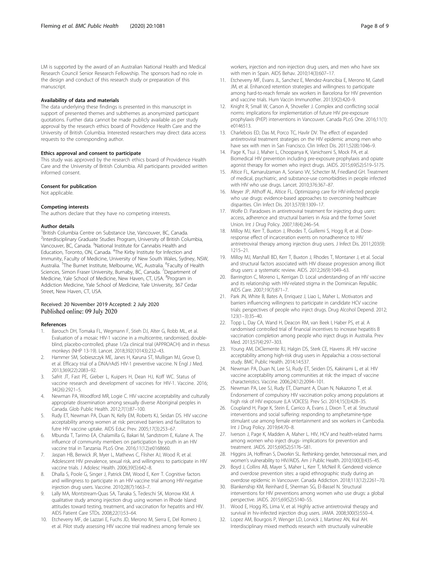<span id="page-7-0"></span>LM is supported by the award of an Australian National Health and Medical Research Council Senior Research Fellowship. The sponsors had no role in the design and conduct of this research study or preparation of this manuscript.

#### Availability of data and materials

The data underlying these findings is presented in this manuscript in support of presented themes and subthemes as anonymized participant quotations. Further data cannot be made publicly available as per study approval by the research ethics board of Providence Health Care and the University of British Columbia. Interested researchers may direct data access requests to the corresponding author.

#### Ethics approval and consent to participate

This study was approved by the research ethics board of Providence Health Care and the University of British Columbia. All participants provided written informed consent.

#### Consent for publication

Not applicable.

#### Competing interests

The authors declare that they have no competing interests.

#### Author details

<sup>1</sup> British Columbia Centre on Substance Use, Vancouver, BC, Canada. <sup>2</sup>Interdisciplinary Graduate Studies Program, University of British Columbia, Vancouver, BC, Canada. <sup>3</sup>National Institute for Cannabis Health and Education, Toronto, ON, Canada. <sup>4</sup>The Kirby Institute for Infection and Immunity, Faculty of Medicine, University of New South Wales, Sydney, NSW, Australia. <sup>5</sup>The Burnet Institute, Melbourne, VIC, Australia. <sup>6</sup>Faculty of Health Sciences, Simon Fraser University, Burnaby, BC, Canada. <sup>7</sup>Department of Medicine, Yale School of Medicine, New Haven, CT, USA. <sup>8</sup>Program in Addiction Medicine, Yale School of Medicine, Yale University, 367 Cedar Street, New Haven, CT, USA.

#### Received: 20 November 2019 Accepted: 2 July 2020 Published online: 09 July 2020

#### References

- Barouch DH, Tomaka FL, Wegmann F, Stieh DJ, Alter G, Robb ML, et al. Evaluation of a mosaic HIV-1 vaccine in a multicentre, randomised, doubleblind, placebo-controlled, phase 1/2a clinical trial (APPROACH) and in rhesus monkeys (NHP 13-19). Lancet. 2018;392(10143):232–43.
- 2. Hammer SM, Sobieszczyk ME, Janes H, Karuna ST, Mulligan MJ, Grove D, et al. Efficacy trial of a DNA/rAd5 HIV-1 preventive vaccine. N Engl J Med. 2013;369(22):2083–92.
- 3. Safrit JT, Fast PE, Gieber L, Kuipers H, Dean HJ, Koff WC. Status of vaccine research and development of vaccines for HIV-1. Vaccine. 2016; 34(26):2921–5.
- 4. Newman PA, Woodford MR, Logie C. HIV vaccine acceptability and culturally appropriate dissemination among sexually diverse Aboriginal peoples in Canada. Glob Public Health. 2012;7(1):87–100.
- 5. Rudy ET, Newman PA, Duan N, Kelly EM, Roberts KJ, Seidan DS. HIV vaccine acceptability among women at risk: perceived barriers and facilitators to futre HIV vaccine uptake. AIDS Educ Prev. 2005;17(3):253–67.
- 6. Mbunda T, Tarimo EA, Chalamilla G, Bakari M, Sandstrom E, Kulane A. The influence of community members on participation by youth in an HIV vaccine trial in Tanzania. PLoS One. 2016;11(12):e0168660.
- Jaspan HB, Berwick JR, Myer L, Mathews C, Flisher AJ, Wood R, et al. Adolescent HIV prevalence, sexual risk, and willingness to participate in HIV vaccine trials. J Adolesc Health. 2006;39(5):642–8.
- 8. Dhalla S, Poole G, Singer J, Patrick DM, Wood E, Kerr T. Cognitive factors and willingness to participate in an HIV vaccine trial among HIV-negative injection drug users. Vaccine. 2010;28(7):1663–7.
- 9. Lally MA, Montstream-Quas SA, Tanaka S, Tedeschi SK, Morrow KM. A qualitative study among injection drug using women in Rhode Island: attitudes toward testing, treatment, and vaccination for hepatitis and HIV. AIDS Patient Care STDs. 2008;22(1):53–64.
- 10. Etcheverry MF, de Lazzari E, Fuchs JD, Merono M, Sierra E, Del Romero J, et al. Pilot study assessing HIV vaccine trial readiness among female sex

workers, injection and non-injection drug users, and men who have sex with men in Spain. AIDS Behav. 2010;14(3):607–17.

- 11. Etcheverry MF, Evans JL, Sanchez E, Mendez-Arancibia E, Merono M, Gatell JM, et al. Enhanced retention strategies and willingness to participate among hard-to-reach female sex workers in Barcelona for HIV prevention and vaccine trials. Hum Vaccin Immunother. 2013;9(2):420–9.
- 12. Knight R, Small W, Carson A, Shoveller J. Complex and conflicting social norms: implications for implementation of future HIV pre-exposure prophylaxis (PrEP) interventions in Vancouver. Canada PLoS One. 2016;11(1): e0146513.
- 13. Charlebois ED, Das M, Porco TC, Havlir DV. The effect of expanded antiretroviral treatment strategies on the HIV epidemic among men who have sex with men in San Francisco. Clin Infect Dis. 2011;52(8):1046–9.
- 14. Page K, Tsui J, Maher L, Choopanya K, Vanichseni S, Mock PA, et al. Biomedical HIV prevention including pre-exposure prophylaxis and opiate agonist therapy for women who inject drugs. JAIDS. 2015;69(S2):S19–S175.
- 15. Altice FL, Kamarulzaman A, Soriano VV, Schecter M, Friedland GH. Treatment of medical, psychiatric, and substance-use comorbidities in people infected with HIV who use drugs. Lancet. 2010;376:367–87.
- 16. Meyer JP, Althoff AL, Altice FL. Optimizaing care for HIV-infected people who use drugs: evidence-based approaches to overcoming healthcare disparities. Clin Infect Dis. 2013;57(9):1309–17.
- 17. Wolfe D. Paradoxes in antiretroviral treatment for injecting drug users: access, adherence and structural barriers in Asia and the former Soviet Union. Int J Drug Policy. 2007;18(4):246–54.
- 18. Milloy MJ, Kerr T, Buxton J, Rhodes T, Guillemi S, Hogg R, et al. Doseresponse effect of incarceration events on nonadherence to HIV antriretroviral therapy among injection drug users. J Infect Dis. 2011;203(9): 1215–21.
- 19. Milloy MJ, Marshall BD, Kerr T, Buxton J, Rhodes T, Montaner J, et al. Social and structural factors associated with HIV disease progression among illicit drug users: a systematic review. AIDS. 2012;26(9):1049–63.
- 20. Barrington C, Moreno L, Kerrigan D. Local understanding of an HIV vaccine and its relationship with HIV-related stigma in the Dominican Republic. AIDS Care. 2007;19(7):871–7.
- 21. Park JN, White B, Bates A, Enriquez J, Liao L, Maher L. Motivators and barriers influencing willingness to participate in candidate HCV vaccine trials: perspectives of people who inject drugs. Drug Alcohol Depend. 2012; 123(1–3):35–40.
- 22. Topp L, Day CA, Wand H, Deacon RM, van Beek I, Haber PS, et al. A randomised controlled trial of financial incentives to increase hepatitis B vaccination completion among people who inject drugs in Australia. Prev Med. 2013;57(4):297–303.
- 23. Young AM, DiClemente RJ, Halgin DS, Sterk CE, Havens JR. HIV vaccine acceptability among high-risk drug users in Appalachia: a cross-sectional study. BMC Public Health. 2014;14:537.
- 24. Newman PA, Duan N, Lee SJ, Rudy ET, Seiden DS, Kakinami L, et al. HIV vaccine acceptability among communities at risk: the impact of vaccine characteristics. Vaccine. 2006;24(12):2094–101.
- 25. Newman PA, Lee SJ, Rudy ET, Diamant A, Duan N, Nakazono T, et al. Endorsement of compulsory HIV vaccination policy among populations at high risk of HIV exposure (LA VOICES). Prev Sci. 2014;15(3):428–35.
- 26. Coupland H, Page K, Stein E, Carrico A, Evans J, Dixon T, et al. Structural interventions and social suffering: responding to amphetamine-type stimulant use among female entertainment and sex workers in Cambodia. Int J Drug Policy. 2019;64:70–8.
- 27. Iverson J, Page K, Madden A, Maher L. HIV, HCV and health-related harms among women who inject drugs- implications for prevention and treatment. JAIDS. 2015;69(S2):S176–S81.
- 28. Higgins JA, Hoffman S, Dworkin SL. Rethinking gender, heterosexual men, and women's vulnerability to HIV/AIDS. Am J Public Health. 2010;100(3):435–45.
- 29. Boyd J, Collins AB, Mayer S, Maher L, Kerr T, McNeil R. Gendered violence and overdose prevention sites: a rapid ethnographic study during an overdose epidemic in Vancouver. Canada Addiction. 2018;113(12):2261–70.
- 30. Blankenship KM, Reinhard E, Sherman SG, El-Bassel N. Structural interventions for HIV preventions among women who use drugs: a global perspective. JAIDS. 2015;69(S2):S140–S5.
- 31. Wood E, Hogg RS, Lima V, et al. Highly active antiretroviral therapy and survival in hiv-infected injection drug users. JAMA. 2008;300(5):550–4.
- 32. Lopez AM, Bourgois P, Wenger LD, Lorvick J, Martinez AN, Kral AH. Interdisciplinary mixed methods research with structurally vulnerable